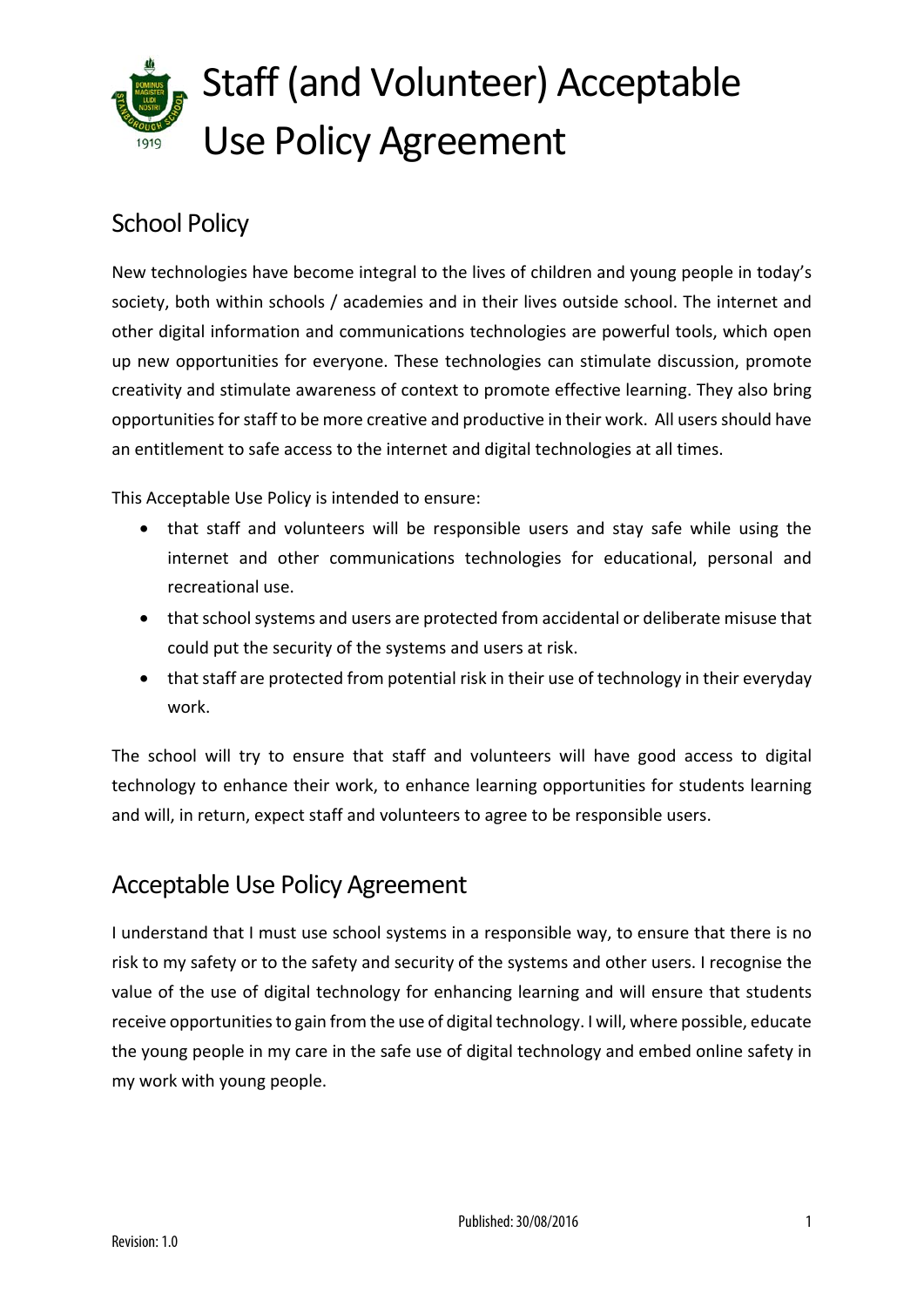

### School Policy

New technologies have become integral to the lives of children and young people in today's society, both within schools / academies and in their lives outside school. The internet and other digital information and communications technologies are powerful tools, which open up new opportunities for everyone. These technologies can stimulate discussion, promote creativity and stimulate awareness of context to promote effective learning. They also bring opportunities for staff to be more creative and productive in their work. All users should have an entitlement to safe access to the internet and digital technologies at all times.

This Acceptable Use Policy is intended to ensure:

- that staff and volunteers will be responsible users and stay safe while using the internet and other communications technologies for educational, personal and recreational use.
- that school systems and users are protected from accidental or deliberate misuse that could put the security of the systems and users at risk.
- that staff are protected from potential risk in their use of technology in their everyday work.

The school will try to ensure that staff and volunteers will have good access to digital technology to enhance their work, to enhance learning opportunities for students learning and will, in return, expect staff and volunteers to agree to be responsible users.

#### Acceptable Use Policy Agreement

I understand that I must use school systems in a responsible way, to ensure that there is no risk to my safety or to the safety and security of the systems and other users. I recognise the value of the use of digital technology for enhancing learning and will ensure that students receive opportunities to gain from the use of digital technology. I will, where possible, educate the young people in my care in the safe use of digital technology and embed online safety in my work with young people.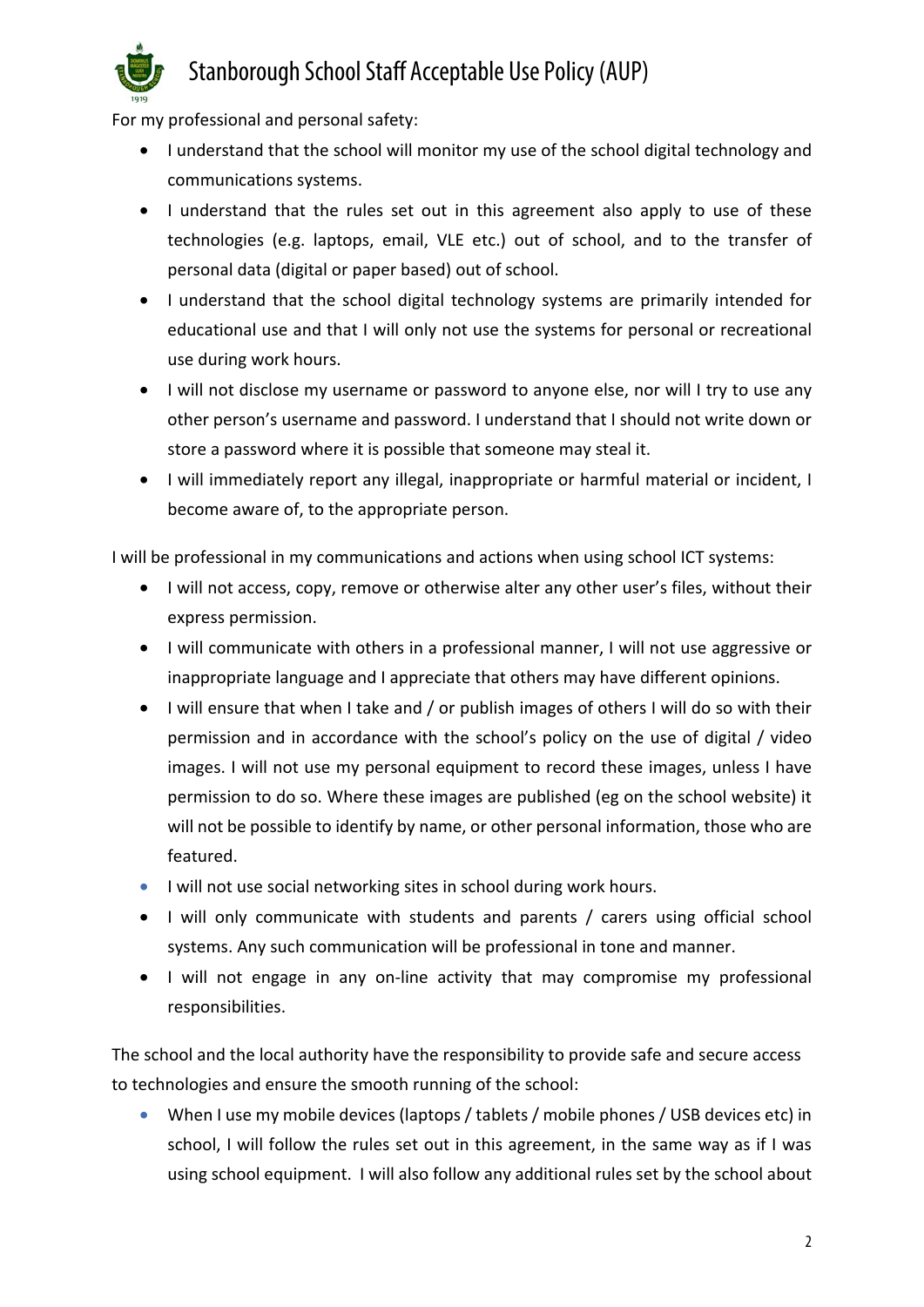

## Stanborough School Staff Acceptable Use Policy (AUP)

For my professional and personal safety:

- I understand that the school will monitor my use of the school digital technology and communications systems.
- I understand that the rules set out in this agreement also apply to use of these technologies (e.g. laptops, email, VLE etc.) out of school, and to the transfer of personal data (digital or paper based) out of school.
- I understand that the school digital technology systems are primarily intended for educational use and that I will only not use the systems for personal or recreational use during work hours.
- I will not disclose my username or password to anyone else, nor will I try to use any other person's username and password. I understand that I should not write down or store a password where it is possible that someone may steal it.
- I will immediately report any illegal, inappropriate or harmful material or incident, I become aware of, to the appropriate person.

I will be professional in my communications and actions when using school ICT systems:

- I will not access, copy, remove or otherwise alter any other user's files, without their express permission.
- I will communicate with others in a professional manner, I will not use aggressive or inappropriate language and I appreciate that others may have different opinions.
- I will ensure that when I take and / or publish images of others I will do so with their permission and in accordance with the school's policy on the use of digital / video images. I will not use my personal equipment to record these images, unless I have permission to do so. Where these images are published (eg on the school website) it will not be possible to identify by name, or other personal information, those who are featured.
- I will not use social networking sites in school during work hours.
- I will only communicate with students and parents / carers using official school systems. Any such communication will be professional in tone and manner.
- I will not engage in any on-line activity that may compromise my professional responsibilities.

The school and the local authority have the responsibility to provide safe and secure access to technologies and ensure the smooth running of the school:

• When I use my mobile devices (laptops / tablets / mobile phones / USB devices etc) in school, I will follow the rules set out in this agreement, in the same way as if I was using school equipment. I will also follow any additional rules set by the school about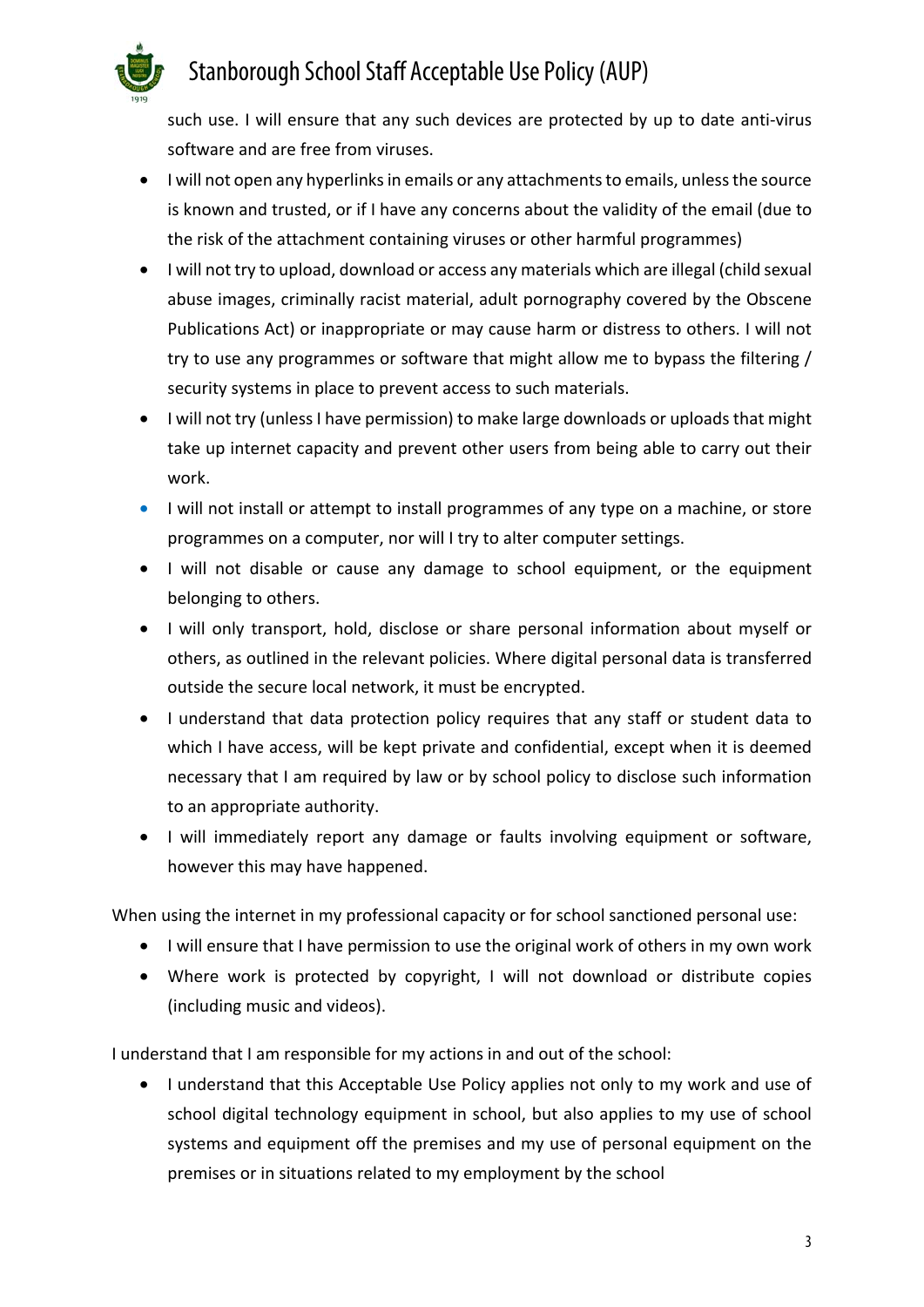# Stanborough School Staff Acceptable Use Policy (AUP)

such use. I will ensure that any such devices are protected by up to date anti-virus software and are free from viruses.

- I will not open any hyperlinks in emails or any attachments to emails, unless the source is known and trusted, or if I have any concerns about the validity of the email (due to the risk of the attachment containing viruses or other harmful programmes)
- I will not try to upload, download or access any materials which are illegal (child sexual abuse images, criminally racist material, adult pornography covered by the Obscene Publications Act) or inappropriate or may cause harm or distress to others. I will not try to use any programmes or software that might allow me to bypass the filtering / security systems in place to prevent access to such materials.
- I will not try (unless I have permission) to make large downloads or uploads that might take up internet capacity and prevent other users from being able to carry out their work.
- I will not install or attempt to install programmes of any type on a machine, or store programmes on a computer, nor will I try to alter computer settings.
- I will not disable or cause any damage to school equipment, or the equipment belonging to others.
- I will only transport, hold, disclose or share personal information about myself or others, as outlined in the relevant policies. Where digital personal data is transferred outside the secure local network, it must be encrypted.
- I understand that data protection policy requires that any staff or student data to which I have access, will be kept private and confidential, except when it is deemed necessary that I am required by law or by school policy to disclose such information to an appropriate authority.
- I will immediately report any damage or faults involving equipment or software, however this may have happened.

When using the internet in my professional capacity or for school sanctioned personal use:

- I will ensure that I have permission to use the original work of others in my own work
- Where work is protected by copyright, I will not download or distribute copies (including music and videos).

I understand that I am responsible for my actions in and out of the school:

• I understand that this Acceptable Use Policy applies not only to my work and use of school digital technology equipment in school, but also applies to my use of school systems and equipment off the premises and my use of personal equipment on the premises or in situations related to my employment by the school